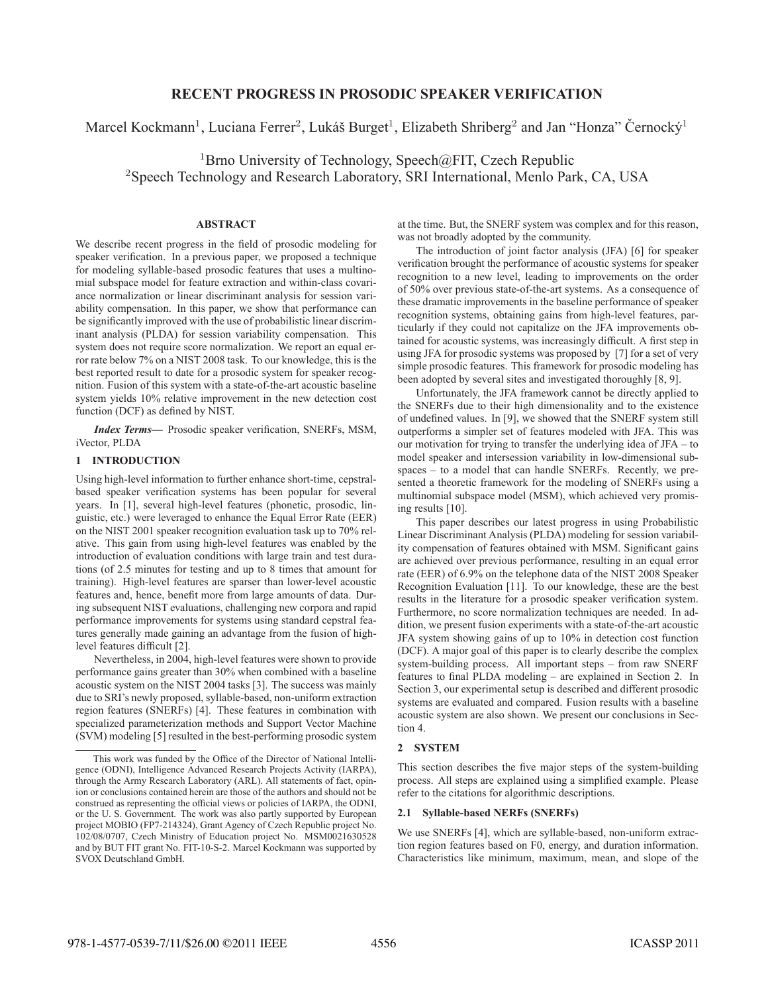# **RECENT PROGRESS IN PROSODIC SPEAKER VERIFICATION**

Marcel Kockmann<sup>1</sup>, Luciana Ferrer<sup>2</sup>, Lukáš Burget<sup>1</sup>, Elizabeth Shriberg<sup>2</sup> and Jan "Honza" Černocký<sup>1</sup>

<sup>1</sup>Brno University of Technology, Speech@FIT, Czech Republic <sup>2</sup>Speech Technology and Research Laboratory, SRI International, Menlo Park, CA, USA

### **ABSTRACT**

We describe recent progress in the field of prosodic modeling for speaker verification. In a previous paper, we proposed a technique for modeling syllable-based prosodic features that uses a multinomial subspace model for feature extraction and within-class covariance normalization or linear discriminant analysis for session variability compensation. In this paper, we show that performance can be significantly improved with the use of probabilistic linear discriminant analysis (PLDA) for session variability compensation. This system does not require score normalization. We report an equal error rate below 7% on a NIST 2008 task. To our knowledge, this is the best reported result to date for a prosodic system for speaker recognition. Fusion of this system with a state-of-the-art acoustic baseline system yields 10% relative improvement in the new detection cost function (DCF) as defined by NIST.

*Index Terms***—** Prosodic speaker verification, SNERFs, MSM, iVector, PLDA

# **1 INTRODUCTION**

Using high-level information to further enhance short-time, cepstralbased speaker verification systems has been popular for several years. In [1], several high-level features (phonetic, prosodic, linguistic, etc.) were leveraged to enhance the Equal Error Rate (EER) on the NIST 2001 speaker recognition evaluation task up to 70% relative. This gain from using high-level features was enabled by the introduction of evaluation conditions with large train and test durations (of 2.5 minutes for testing and up to 8 times that amount for training). High-level features are sparser than lower-level acoustic features and, hence, benefit more from large amounts of data. During subsequent NIST evaluations, challenging new corpora and rapid performance improvements for systems using standard cepstral features generally made gaining an advantage from the fusion of highlevel features difficult [2].

Nevertheless, in 2004, high-level features were shown to provide performance gains greater than 30% when combined with a baseline acoustic system on the NIST 2004 tasks [3]. The success was mainly due to SRI's newly proposed, syllable-based, non-uniform extraction region features (SNERFs) [4]. These features in combination with specialized parameterization methods and Support Vector Machine (SVM) modeling [5] resulted in the best-performing prosodic system

at the time. But, the SNERF system was complex and for this reason, was not broadly adopted by the community.

The introduction of joint factor analysis (JFA) [6] for speaker verification brought the performance of acoustic systems for speaker recognition to a new level, leading to improvements on the order of 50% over previous state-of-the-art systems. As a consequence of these dramatic improvements in the baseline performance of speaker recognition systems, obtaining gains from high-level features, particularly if they could not capitalize on the JFA improvements obtained for acoustic systems, was increasingly difficult. A first step in using JFA for prosodic systems was proposed by [7] for a set of very simple prosodic features. This framework for prosodic modeling has been adopted by several sites and investigated thoroughly [8, 9].

Unfortunately, the JFA framework cannot be directly applied to the SNERFs due to their high dimensionality and to the existence of undefined values. In [9], we showed that the SNERF system still outperforms a simpler set of features modeled with JFA. This was our motivation for trying to transfer the underlying idea of JFA – to model speaker and intersession variability in low-dimensional subspaces – to a model that can handle SNERFs. Recently, we presented a theoretic framework for the modeling of SNERFs using a multinomial subspace model (MSM), which achieved very promising results [10].

This paper describes our latest progress in using Probabilistic Linear Discriminant Analysis (PLDA) modeling for session variability compensation of features obtained with MSM. Significant gains are achieved over previous performance, resulting in an equal error rate (EER) of 6.9% on the telephone data of the NIST 2008 Speaker Recognition Evaluation [11]. To our knowledge, these are the best results in the literature for a prosodic speaker verification system. Furthermore, no score normalization techniques are needed. In addition, we present fusion experiments with a state-of-the-art acoustic JFA system showing gains of up to 10% in detection cost function (DCF). A major goal of this paper is to clearly describe the complex system-building process. All important steps – from raw SNERF features to final PLDA modeling – are explained in Section 2. In Section 3, our experimental setup is described and different prosodic systems are evaluated and compared. Fusion results with a baseline acoustic system are also shown. We present our conclusions in Section 4.

# **2 SYSTEM**

This section describes the five major steps of the system-building process. All steps are explained using a simplified example. Please refer to the citations for algorithmic descriptions.

### **2.1 Syllable-based NERFs (SNERFs)**

We use SNERFs [4], which are syllable-based, non-uniform extraction region features based on F0, energy, and duration information. Characteristics like minimum, maximum, mean, and slope of the

This work was funded by the Office of the Director of National Intelligence (ODNI), Intelligence Advanced Research Projects Activity (IARPA), through the Army Research Laboratory (ARL). All statements of fact, opinion or conclusions contained herein are those of the authors and should not be construed as representing the official views or policies of IARPA, the ODNI, or the U. S. Government. The work was also partly supported by European project MOBIO (FP7-214324), Grant Agency of Czech Republic project No. 102/08/0707, Czech Ministry of Education project No. MSM0021630528 and by BUT FIT grant No. FIT-10-S-2. Marcel Kockmann was supported by SVOX Deutschland GmbH.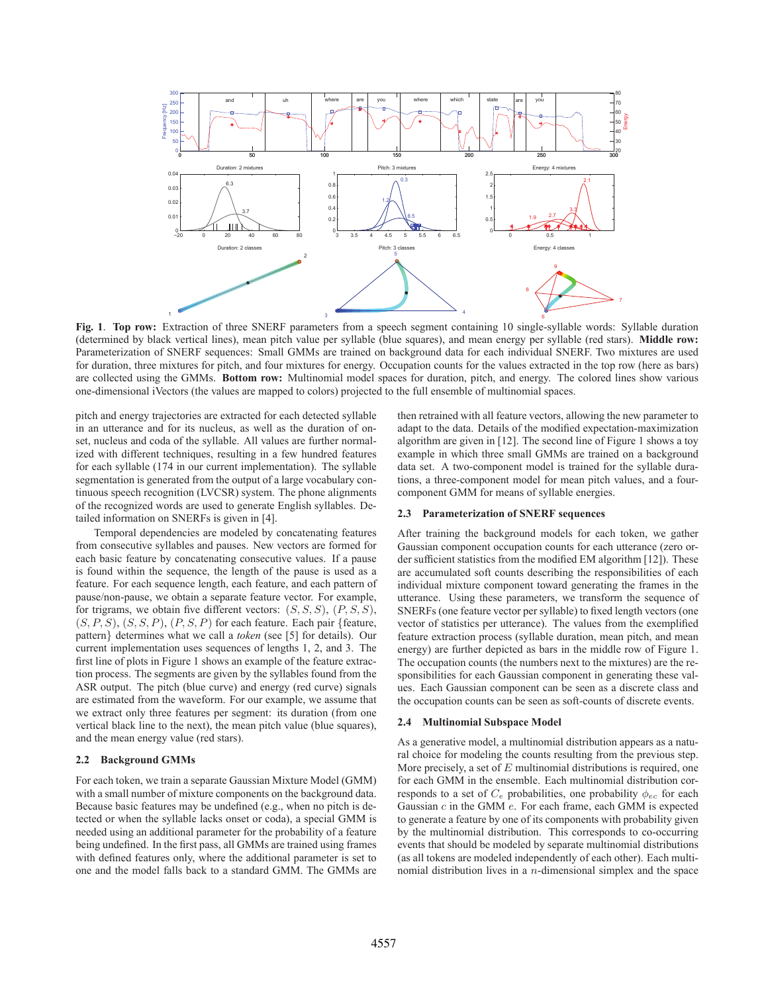

**Fig. 1**. **Top row:** Extraction of three SNERF parameters from a speech segment containing 10 single-syllable words: Syllable duration (determined by black vertical lines), mean pitch value per syllable (blue squares), and mean energy per syllable (red stars). **Middle row:** Parameterization of SNERF sequences: Small GMMs are trained on background data for each individual SNERF. Two mixtures are used for duration, three mixtures for pitch, and four mixtures for energy. Occupation counts for the values extracted in the top row (here as bars) are collected using the GMMs. **Bottom row:** Multinomial model spaces for duration, pitch, and energy. The colored lines show various one-dimensional iVectors (the values are mapped to colors) projected to the full ensemble of multinomial spaces.

pitch and energy trajectories are extracted for each detected syllable in an utterance and for its nucleus, as well as the duration of onset, nucleus and coda of the syllable. All values are further normalized with different techniques, resulting in a few hundred features for each syllable (174 in our current implementation). The syllable segmentation is generated from the output of a large vocabulary continuous speech recognition (LVCSR) system. The phone alignments of the recognized words are used to generate English syllables. Detailed information on SNERFs is given in [4].

Temporal dependencies are modeled by concatenating features from consecutive syllables and pauses. New vectors are formed for each basic feature by concatenating consecutive values. If a pause is found within the sequence, the length of the pause is used as a feature. For each sequence length, each feature, and each pattern of pause/non-pause, we obtain a separate feature vector. For example, for trigrams, we obtain five different vectors:  $(S, S, S)$ ,  $(P, S, S)$ ,  $(S, P, S), (S, S, P), (P, S, P)$  for each feature. Each pair {feature, pattern} determines what we call a *token* (see [5] for details). Our current implementation uses sequences of lengths 1, 2, and 3. The first line of plots in Figure 1 shows an example of the feature extraction process. The segments are given by the syllables found from the ASR output. The pitch (blue curve) and energy (red curve) signals are estimated from the waveform. For our example, we assume that we extract only three features per segment: its duration (from one vertical black line to the next), the mean pitch value (blue squares), and the mean energy value (red stars).

### **2.2 Background GMMs**

For each token, we train a separate Gaussian Mixture Model (GMM) with a small number of mixture components on the background data. Because basic features may be undefined (e.g., when no pitch is detected or when the syllable lacks onset or coda), a special GMM is needed using an additional parameter for the probability of a feature being undefined. In the first pass, all GMMs are trained using frames with defined features only, where the additional parameter is set to one and the model falls back to a standard GMM. The GMMs are

then retrained with all feature vectors, allowing the new parameter to adapt to the data. Details of the modified expectation-maximization algorithm are given in [12]. The second line of Figure 1 shows a toy example in which three small GMMs are trained on a background data set. A two-component model is trained for the syllable durations, a three-component model for mean pitch values, and a fourcomponent GMM for means of syllable energies.

# **2.3 Parameterization of SNERF sequences**

After training the background models for each token, we gather Gaussian component occupation counts for each utterance (zero order sufficient statistics from the modified EM algorithm [12]). These are accumulated soft counts describing the responsibilities of each individual mixture component toward generating the frames in the utterance. Using these parameters, we transform the sequence of SNERFs (one feature vector per syllable) to fixed length vectors (one vector of statistics per utterance). The values from the exemplified feature extraction process (syllable duration, mean pitch, and mean energy) are further depicted as bars in the middle row of Figure 1. The occupation counts (the numbers next to the mixtures) are the responsibilities for each Gaussian component in generating these values. Each Gaussian component can be seen as a discrete class and the occupation counts can be seen as soft-counts of discrete events.

### **2.4 Multinomial Subspace Model**

As a generative model, a multinomial distribution appears as a natural choice for modeling the counts resulting from the previous step. More precisely, a set of  $E$  multinomial distributions is required, one for each GMM in the ensemble. Each multinomial distribution corresponds to a set of  $C_e$  probabilities, one probability  $\phi_{ec}$  for each Gaussian c in the GMM e. For each frame, each GMM is expected to generate a feature by one of its components with probability given by the multinomial distribution. This corresponds to co-occurring events that should be modeled by separate multinomial distributions (as all tokens are modeled independently of each other). Each multinomial distribution lives in a n-dimensional simplex and the space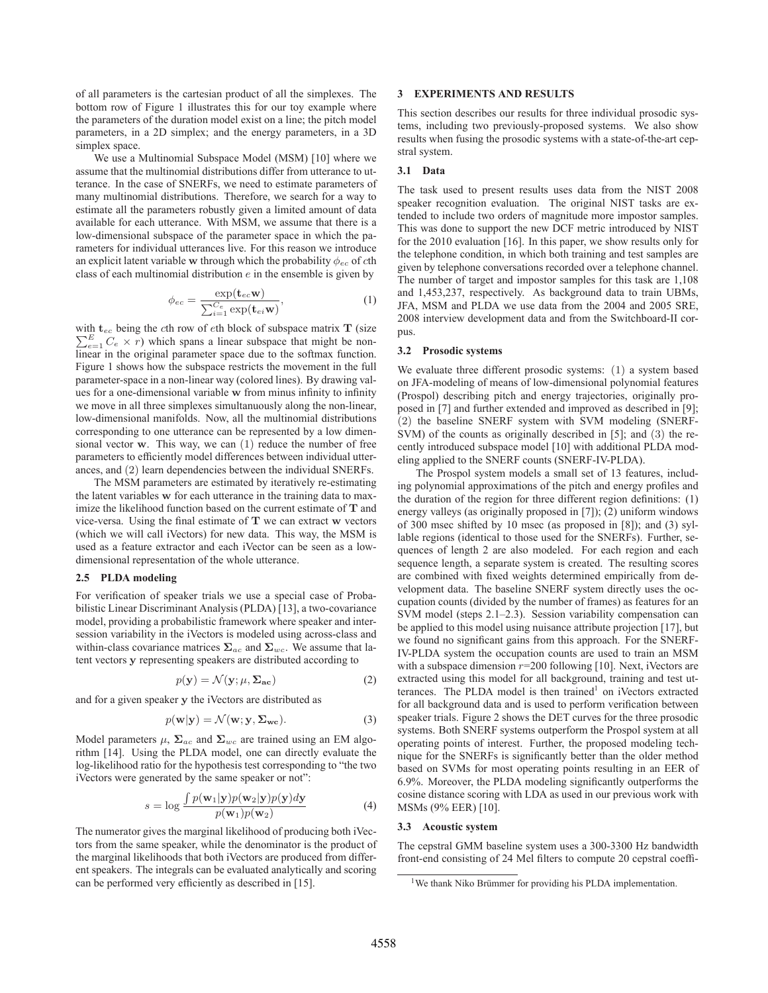of all parameters is the cartesian product of all the simplexes. The bottom row of Figure 1 illustrates this for our toy example where the parameters of the duration model exist on a line; the pitch model parameters, in a 2D simplex; and the energy parameters, in a 3D simplex space.

We use a Multinomial Subspace Model (MSM) [10] where we assume that the multinomial distributions differ from utterance to utterance. In the case of SNERFs, we need to estimate parameters of many multinomial distributions. Therefore, we search for a way to estimate all the parameters robustly given a limited amount of data available for each utterance. With MSM, we assume that there is a low-dimensional subspace of the parameter space in which the parameters for individual utterances live. For this reason we introduce an explicit latent variable **w** through which the probability  $\phi_{ec}$  of cth class of each multinomial distribution  $e$  in the ensemble is given by

$$
\phi_{ec} = \frac{\exp(\mathbf{t}_{ec}\mathbf{w})}{\sum_{i=1}^{C_e} \exp(\mathbf{t}_{ei}\mathbf{w})},\tag{1}
$$

with  $\mathbf{t}_{ec}$  being the cth row of eth block of subspace matrix **T** (size  $\sum_{e=1}^{E} C_e \times r$ ) which spans a linear subspace that might be nonlinear in the original parameter space due to the softmax function. Figure 1 shows how the subspace restricts the movement in the full parameter-space in a non-linear way (colored lines). By drawing values for a one-dimensional variable **w** from minus infinity to infinity we move in all three simplexes simultanuously along the non-linear, low-dimensional manifolds. Now, all the multinomial distributions corresponding to one utterance can be represented by a low dimensional vector **<sup>w</sup>**. This way, we can (1) reduce the number of free parameters to efficiently model differences between individual utterances, and (2) learn dependencies between the individual SNERFs.

The MSM parameters are estimated by iteratively re-estimating the latent variables **w** for each utterance in the training data to maximize the likelihood function based on the current estimate of **T** and vice-versa. Using the final estimate of **T** we can extract **w** vectors (which we will call iVectors) for new data. This way, the MSM is used as a feature extractor and each iVector can be seen as a lowdimensional representation of the whole utterance.

# **2.5 PLDA modeling**

For verification of speaker trials we use a special case of Probabilistic Linear Discriminant Analysis (PLDA) [13], a two-covariance model, providing a probabilistic framework where speaker and intersession variability in the iVectors is modeled using across-class and within-class covariance matrices  $\Sigma_{ac}$  and  $\Sigma_{wc}$ . We assume that latent vectors **y** representing speakers are distributed according to

$$
p(\mathbf{y}) = \mathcal{N}(\mathbf{y}; \mu, \Sigma_{ac})
$$
 (2)

and for a given speaker **y** the iVectors are distributed as

$$
p(\mathbf{w}|\mathbf{y}) = \mathcal{N}(\mathbf{w}; \mathbf{y}, \Sigma_{\mathbf{w}\mathbf{c}}).
$$
 (3)

Model parameters  $\mu$ ,  $\Sigma_{ac}$  and  $\Sigma_{wc}$  are trained using an EM algorithm [14]. Using the PLDA model, one can directly evaluate the log-likelihood ratio for the hypothesis test corresponding to "the two iVectors were generated by the same speaker or not":

$$
s = \log \frac{\int p(\mathbf{w}_1|\mathbf{y})p(\mathbf{w}_2|\mathbf{y})p(\mathbf{y})d\mathbf{y}}{p(\mathbf{w}_1)p(\mathbf{w}_2)}
$$
(4)  
The numerator gives the marginal likelihood of producing both iVec-

tors from the same speaker, while the denominator is the product of the marginal likelihoods that both iVectors are produced from different speakers. The integrals can be evaluated analytically and scoring can be performed very efficiently as described in [15].

### **3 EXPERIMENTS AND RESULTS**

This section describes our results for three individual prosodic systems, including two previously-proposed systems. We also show results when fusing the prosodic systems with a state-of-the-art cepstral system.

### **3.1 Data**

The task used to present results uses data from the NIST 2008 speaker recognition evaluation. The original NIST tasks are extended to include two orders of magnitude more impostor samples. This was done to support the new DCF metric introduced by NIST for the 2010 evaluation [16]. In this paper, we show results only for the telephone condition, in which both training and test samples are given by telephone conversations recorded over a telephone channel. The number of target and impostor samples for this task are 1,108 and 1,453,237, respectively. As background data to train UBMs, JFA, MSM and PLDA we use data from the 2004 and 2005 SRE, 2008 interview development data and from the Switchboard-II corpus.

### **3.2 Prosodic systems**

We evaluate three different prosodic systems: (1) a system based on JFA-modeling of means of low-dimensional polynomial features (Prospol) describing pitch and energy trajectories, originally proposed in [7] and further extended and improved as described in [9]; (2) the baseline SNERF system with SVM modeling (SNERF-SVM) of the counts as originally described in [5]; and (3) the recently introduced subspace model [10] with additional PLDA modeling applied to the SNERF counts (SNERF-IV-PLDA).

The Prospol system models a small set of 13 features, including polynomial approximations of the pitch and energy profiles and the duration of the region for three different region definitions: (1) energy valleys (as originally proposed in [7]); (2) uniform windows of 300 msec shifted by 10 msec (as proposed in [8]); and (3) syllable regions (identical to those used for the SNERFs). Further, sequences of length 2 are also modeled. For each region and each sequence length, a separate system is created. The resulting scores are combined with fixed weights determined empirically from development data. The baseline SNERF system directly uses the occupation counts (divided by the number of frames) as features for an SVM model (steps 2.1–2.3). Session variability compensation can be applied to this model using nuisance attribute projection [17], but we found no significant gains from this approach. For the SNERF-IV-PLDA system the occupation counts are used to train an MSM with a subspace dimension  $r=200$  following [10]. Next, iVectors are extracted using this model for all background, training and test utterances. The PLDA model is then trained<sup>1</sup> on iVectors extracted for all background data and is used to perform verification between speaker trials. Figure 2 shows the DET curves for the three prosodic systems. Both SNERF systems outperform the Prospol system at all operating points of interest. Further, the proposed modeling technique for the SNERFs is significantly better than the older method based on SVMs for most operating points resulting in an EER of 6.9%. Moreover, the PLDA modeling significantly outperforms the cosine distance scoring with LDA as used in our previous work with MSMs (9% EER) [10].

#### **3.3 Acoustic system**

The cepstral GMM baseline system uses a 300-3300 Hz bandwidth front-end consisting of 24 Mel filters to compute 20 cepstral coeffi-

 $1$ We thank Niko Brümmer for providing his PLDA implementation.